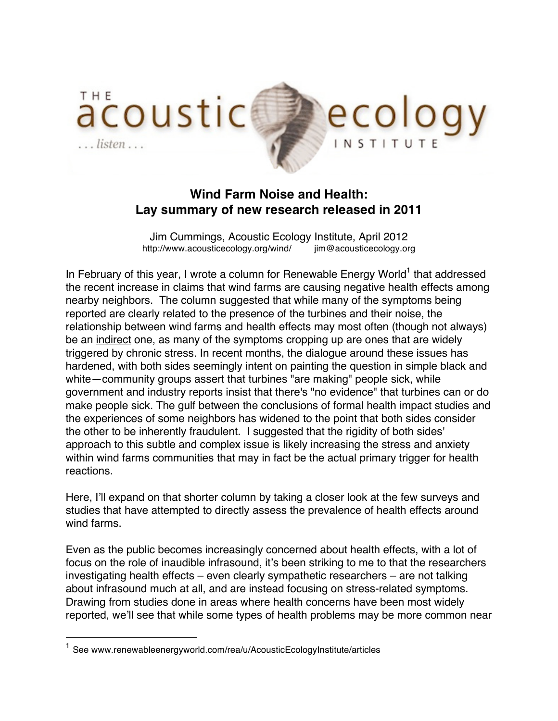

## **Wind Farm Noise and Health: Lay summary of new research released in 2011**

Jim Cummings, Acoustic Ecology Institute, April 2012 http://www.acousticecology.org/wind/ jim@acousticecology.org

In February of this year, I wrote a column for Renewable Energy World<sup>1</sup> that addressed the recent increase in claims that wind farms are causing negative health effects among nearby neighbors. The column suggested that while many of the symptoms being reported are clearly related to the presence of the turbines and their noise, the relationship between wind farms and health effects may most often (though not always) be an indirect one, as many of the symptoms cropping up are ones that are widely triggered by chronic stress. In recent months, the dialogue around these issues has hardened, with both sides seemingly intent on painting the question in simple black and white—community groups assert that turbines "are making" people sick, while government and industry reports insist that there's "no evidence" that turbines can or do make people sick. The gulf between the conclusions of formal health impact studies and the experiences of some neighbors has widened to the point that both sides consider the other to be inherently fraudulent. I suggested that the rigidity of both sides' approach to this subtle and complex issue is likely increasing the stress and anxiety within wind farms communities that may in fact be the actual primary trigger for health reactions.

Here, I'll expand on that shorter column by taking a closer look at the few surveys and studies that have attempted to directly assess the prevalence of health effects around wind farms.

Even as the public becomes increasingly concerned about health effects, with a lot of focus on the role of inaudible infrasound, it's been striking to me to that the researchers investigating health effects – even clearly sympathetic researchers – are not talking about infrasound much at all, and are instead focusing on stress-related symptoms. Drawing from studies done in areas where health concerns have been most widely reported, we'll see that while some types of health problems may be more common near

<sup>&</sup>lt;sup>1</sup> See www.renewableenergyworld.com/rea/u/AcousticEcologyInstitute/articles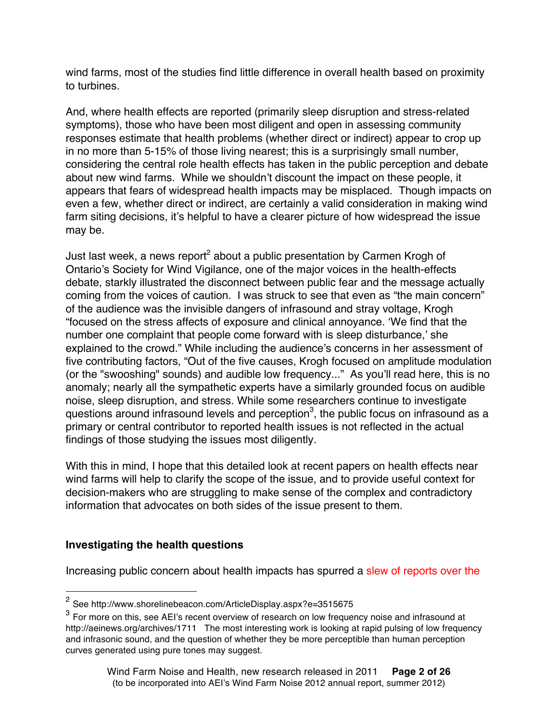wind farms, most of the studies find little difference in overall health based on proximity to turbines.

And, where health effects are reported (primarily sleep disruption and stress-related symptoms), those who have been most diligent and open in assessing community responses estimate that health problems (whether direct or indirect) appear to crop up in no more than 5-15% of those living nearest; this is a surprisingly small number, considering the central role health effects has taken in the public perception and debate about new wind farms. While we shouldn't discount the impact on these people, it appears that fears of widespread health impacts may be misplaced. Though impacts on even a few, whether direct or indirect, are certainly a valid consideration in making wind farm siting decisions, it's helpful to have a clearer picture of how widespread the issue may be.

Just last week, a news report<sup>2</sup> about a public presentation by Carmen Krogh of Ontario's Society for Wind Vigilance, one of the major voices in the health-effects debate, starkly illustrated the disconnect between public fear and the message actually coming from the voices of caution. I was struck to see that even as "the main concern" of the audience was the invisible dangers of infrasound and stray voltage, Krogh "focused on the stress affects of exposure and clinical annoyance. ʻWe find that the number one complaint that people come forward with is sleep disturbance,' she explained to the crowd." While including the audience's concerns in her assessment of five contributing factors, "Out of the five causes, Krogh focused on amplitude modulation (or the "swooshing" sounds) and audible low frequency..." As you'll read here, this is no anomaly; nearly all the sympathetic experts have a similarly grounded focus on audible noise, sleep disruption, and stress. While some researchers continue to investigate questions around infrasound levels and perception $^3$ , the public focus on infrasound as a primary or central contributor to reported health issues is not reflected in the actual findings of those studying the issues most diligently.

With this in mind, I hope that this detailed look at recent papers on health effects near wind farms will help to clarify the scope of the issue, and to provide useful context for decision-makers who are struggling to make sense of the complex and contradictory information that advocates on both sides of the issue present to them.

### **Investigating the health questions**

Increasing public concern about health impacts has spurred a slew of reports over the

 <sup>2</sup> See http://www.shorelinebeacon.com/ArticleDisplay.aspx?e=3515675

 $3$  For more on this, see AEI's recent overview of research on low frequency noise and infrasound at http://aeinews.org/archives/1711 The most interesting work is looking at rapid pulsing of low frequency and infrasonic sound, and the question of whether they be more perceptible than human perception curves generated using pure tones may suggest.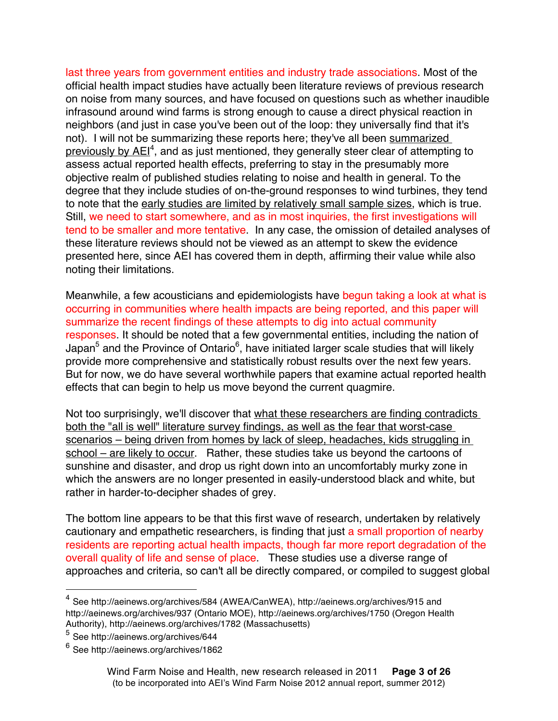last three years from government entities and industry trade associations. Most of the official health impact studies have actually been literature reviews of previous research on noise from many sources, and have focused on questions such as whether inaudible infrasound around wind farms is strong enough to cause a direct physical reaction in neighbors (and just in case you've been out of the loop: they universally find that it's not). I will not be summarizing these reports here; they've all been summarized previously by AEI<sup>4</sup>, and as just mentioned, they generally steer clear of attempting to assess actual reported health effects, preferring to stay in the presumably more objective realm of published studies relating to noise and health in general. To the degree that they include studies of on-the-ground responses to wind turbines, they tend to note that the early studies are limited by relatively small sample sizes, which is true. Still, we need to start somewhere, and as in most inquiries, the first investigations will tend to be smaller and more tentative. In any case, the omission of detailed analyses of these literature reviews should not be viewed as an attempt to skew the evidence presented here, since AEI has covered them in depth, affirming their value while also noting their limitations.

Meanwhile, a few acousticians and epidemiologists have begun taking a look at what is occurring in communities where health impacts are being reported, and this paper will summarize the recent findings of these attempts to dig into actual community responses. It should be noted that a few governmental entities, including the nation of Japan<sup>5</sup> and the Province of Ontario<sup>6</sup>, have initiated larger scale studies that will likely provide more comprehensive and statistically robust results over the next few years. But for now, we do have several worthwhile papers that examine actual reported health effects that can begin to help us move beyond the current quagmire.

Not too surprisingly, we'll discover that what these researchers are finding contradicts both the "all is well" literature survey findings, as well as the fear that worst-case scenarios – being driven from homes by lack of sleep, headaches, kids struggling in school – are likely to occur. Rather, these studies take us beyond the cartoons of sunshine and disaster, and drop us right down into an uncomfortably murky zone in which the answers are no longer presented in easily-understood black and white, but rather in harder-to-decipher shades of grey.

The bottom line appears to be that this first wave of research, undertaken by relatively cautionary and empathetic researchers, is finding that just a small proportion of nearby residents are reporting actual health impacts, though far more report degradation of the overall quality of life and sense of place. These studies use a diverse range of approaches and criteria, so can't all be directly compared, or compiled to suggest global

 <sup>4</sup> See http://aeinews.org/archives/584 (AWEA/CanWEA), http://aeinews.org/archives/915 and http://aeinews.org/archives/937 (Ontario MOE), http://aeinews.org/archives/1750 (Oregon Health Authority), http://aeinews.org/archives/1782 (Massachusetts)

<sup>5</sup> See http://aeinews.org/archives/644

<sup>6</sup> See http://aeinews.org/archives/1862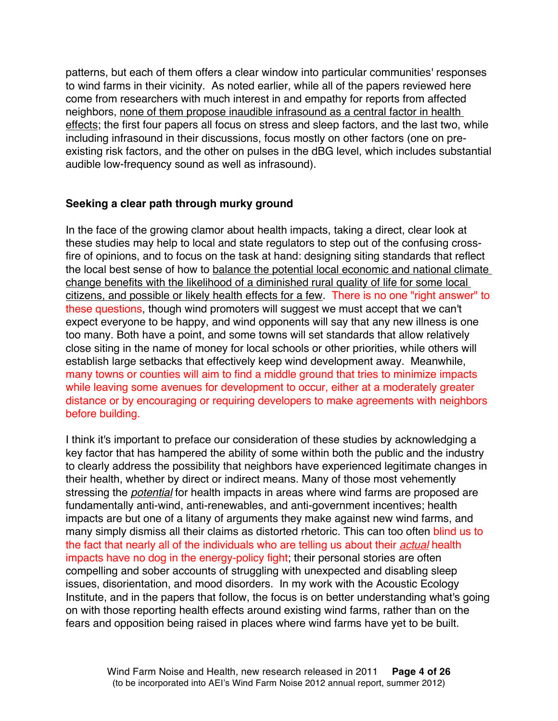patterns, but each of them offers a clear window into particular communities' responses to wind farms in their vicinity. As noted earlier, while all of the papers reviewed here come from researchers with much interest in and empathy for reports from affected neighbors, none of them propose inaudible infrasound as a central factor in health effects; the first four papers all focus on stress and sleep factors, and the last two, while including infrasound in their discussions, focus mostly on other factors (one on preexisting risk factors, and the other on pulses in the dBG level, which includes substantial audible low-frequency sound as well as infrasound).

#### **Seeking a clear path through murky ground**

In the face of the growing clamor about health impacts, taking a direct, clear look at these studies may help to local and state regulators to step out of the confusing crossfire of opinions, and to focus on the task at hand: designing siting standards that reflect the local best sense of how to balance the potential local economic and national climate change benefits with the likelihood of a diminished rural quality of life for some local citizens, and possible or likely health effects for a few. There is no one "right answer" to these questions, though wind promoters will suggest we must accept that we can't expect everyone to be happy, and wind opponents will say that any new illness is one too many. Both have a point, and some towns will set standards that allow relatively close siting in the name of money for local schools or other priorities, while others will establish large setbacks that effectively keep wind development away. Meanwhile, many towns or counties will aim to find a middle ground that tries to minimize impacts while leaving some avenues for development to occur, either at a moderately greater distance or by encouraging or requiring developers to make agreements with neighbors before building.

I think it's important to preface our consideration of these studies by acknowledging a key factor that has hampered the ability of some within both the public and the industry to clearly address the possibility that neighbors have experienced legitimate changes in their health, whether by direct or indirect means. Many of those most vehemently stressing the *potential* for health impacts in areas where wind farms are proposed are fundamentally anti-wind, anti-renewables, and anti-government incentives; health impacts are but one of a litany of arguments they make against new wind farms, and many simply dismiss all their claims as distorted rhetoric. This can too often blind us to the fact that nearly all of the individuals who are telling us about their *actual* health impacts have no dog in the energy-policy fight; their personal stories are often compelling and sober accounts of struggling with unexpected and disabling sleep issues, disorientation, and mood disorders. In my work with the Acoustic Ecology Institute, and in the papers that follow, the focus is on better understanding what's going on with those reporting health effects around existing wind farms, rather than on the fears and opposition being raised in places where wind farms have yet to be built.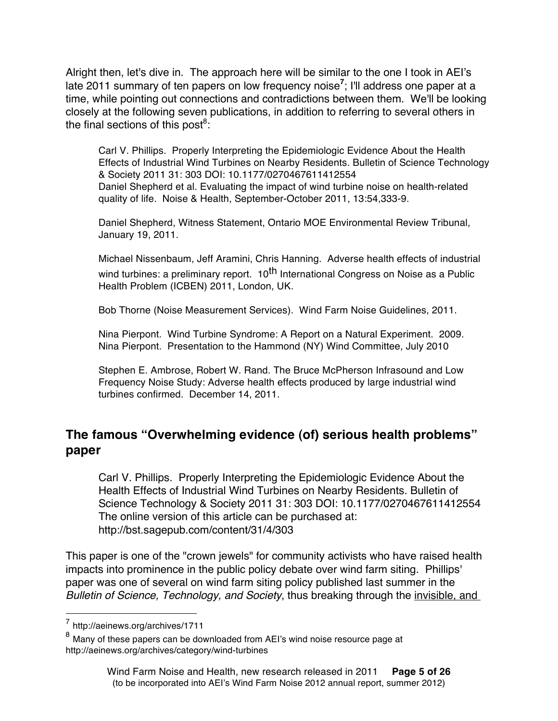Alright then, let's dive in. The approach here will be similar to the one I took in AEI's late 2011 summary of ten papers on low frequency noise**<sup>7</sup>** ; I'll address one paper at a time, while pointing out connections and contradictions between them. We'll be looking closely at the following seven publications, in addition to referring to several others in the final sections of this post $^8$ :

Carl V. Phillips. Properly Interpreting the Epidemiologic Evidence About the Health Effects of Industrial Wind Turbines on Nearby Residents. Bulletin of Science Technology & Society 2011 31: 303 DOI: 10.1177/0270467611412554 Daniel Shepherd et al. Evaluating the impact of wind turbine noise on health-related quality of life. Noise & Health, September-October 2011, 13:54,333-9.

Daniel Shepherd, Witness Statement, Ontario MOE Environmental Review Tribunal, January 19, 2011.

Michael Nissenbaum, Jeff Aramini, Chris Hanning. Adverse health effects of industrial wind turbines: a preliminary report. 10<sup>th</sup> International Congress on Noise as a Public Health Problem (ICBEN) 2011, London, UK.

Bob Thorne (Noise Measurement Services). Wind Farm Noise Guidelines, 2011.

Nina Pierpont. Wind Turbine Syndrome: A Report on a Natural Experiment. 2009. Nina Pierpont. Presentation to the Hammond (NY) Wind Committee, July 2010

Stephen E. Ambrose, Robert W. Rand. The Bruce McPherson Infrasound and Low Frequency Noise Study: Adverse health effects produced by large industrial wind turbines confirmed. December 14, 2011.

# **The famous "Overwhelming evidence (of) serious health problems" paper**

Carl V. Phillips. Properly Interpreting the Epidemiologic Evidence About the Health Effects of Industrial Wind Turbines on Nearby Residents. Bulletin of Science Technology & Society 2011 31: 303 DOI: 10.1177/0270467611412554 The online version of this article can be purchased at: http://bst.sagepub.com/content/31/4/303

This paper is one of the "crown jewels" for community activists who have raised health impacts into prominence in the public policy debate over wind farm siting. Phillips' paper was one of several on wind farm siting policy published last summer in the *Bulletin of Science, Technology, and Society*, thus breaking through the invisible, and

 <sup>7</sup> http://aeinews.org/archives/1711

 $8$  Many of these papers can be downloaded from AEI's wind noise resource page at http://aeinews.org/archives/category/wind-turbines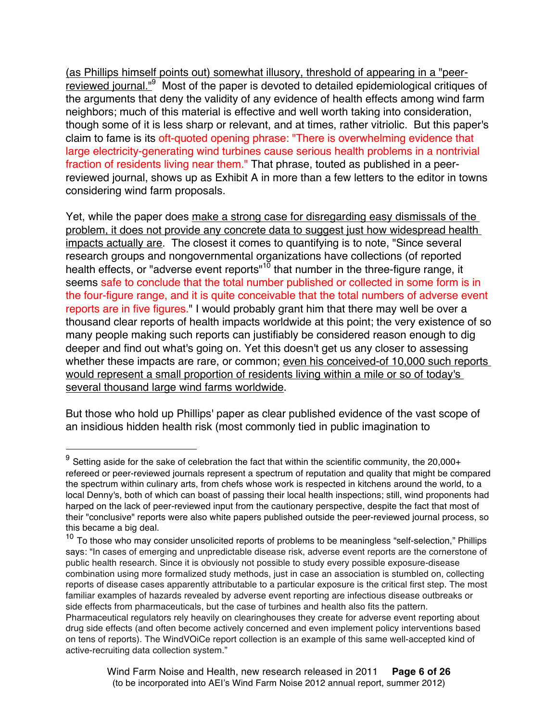(as Phillips himself points out) somewhat illusory, threshold of appearing in a "peerreviewed journal."9 Most of the paper is devoted to detailed epidemiological critiques of the arguments that deny the validity of any evidence of health effects among wind farm neighbors; much of this material is effective and well worth taking into consideration, though some of it is less sharp or relevant, and at times, rather vitriolic. But this paper's claim to fame is its oft-quoted opening phrase: "There is overwhelming evidence that large electricity-generating wind turbines cause serious health problems in a nontrivial fraction of residents living near them." That phrase, touted as published in a peerreviewed journal, shows up as Exhibit A in more than a few letters to the editor in towns considering wind farm proposals.

Yet, while the paper does make a strong case for disregarding easy dismissals of the problem, it does not provide any concrete data to suggest just how widespread health impacts actually are. The closest it comes to quantifying is to note, "Since several research groups and nongovernmental organizations have collections (of reported health effects, or "adverse event reports"<sup>10</sup> that number in the three-figure range, it seems safe to conclude that the total number published or collected in some form is in the four-figure range, and it is quite conceivable that the total numbers of adverse event reports are in five figures." I would probably grant him that there may well be over a thousand clear reports of health impacts worldwide at this point; the very existence of so many people making such reports can justifiably be considered reason enough to dig deeper and find out what's going on. Yet this doesn't get us any closer to assessing whether these impacts are rare, or common; even his conceived-of 10,000 such reports would represent a small proportion of residents living within a mile or so of today's several thousand large wind farms worldwide.

But those who hold up Phillips' paper as clear published evidence of the vast scope of an insidious hidden health risk (most commonly tied in public imagination to

 $9$  Setting aside for the sake of celebration the fact that within the scientific community, the 20,000+ refereed or peer-reviewed journals represent a spectrum of reputation and quality that might be compared the spectrum within culinary arts, from chefs whose work is respected in kitchens around the world, to a local Denny's, both of which can boast of passing their local health inspections; still, wind proponents had harped on the lack of peer-reviewed input from the cautionary perspective, despite the fact that most of their "conclusive" reports were also white papers published outside the peer-reviewed journal process, so this became a big deal.

<sup>&</sup>lt;sup>10</sup> To those who may consider unsolicited reports of problems to be meaningless "self-selection," Phillips says: "In cases of emerging and unpredictable disease risk, adverse event reports are the cornerstone of public health research. Since it is obviously not possible to study every possible exposure-disease combination using more formalized study methods, just in case an association is stumbled on, collecting reports of disease cases apparently attributable to a particular exposure is the critical first step. The most familiar examples of hazards revealed by adverse event reporting are infectious disease outbreaks or side effects from pharmaceuticals, but the case of turbines and health also fits the pattern. Pharmaceutical regulators rely heavily on clearinghouses they create for adverse event reporting about drug side effects (and often become actively concerned and even implement policy interventions based on tens of reports). The WindVOiCe report collection is an example of this same well-accepted kind of active-recruiting data collection system."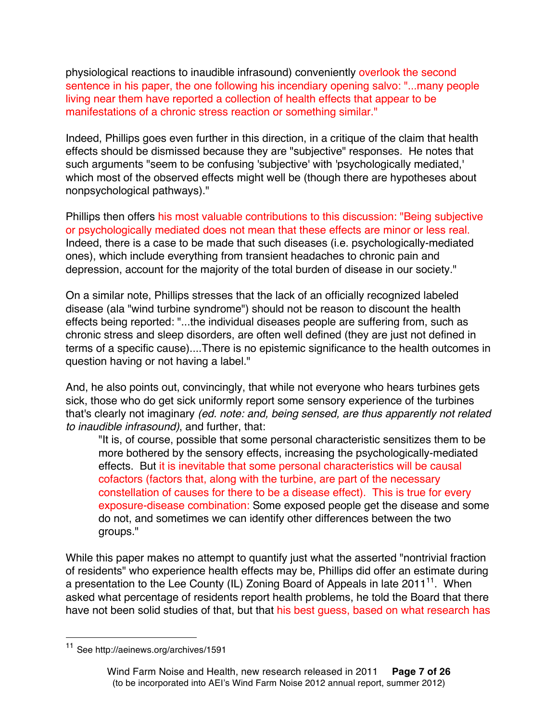physiological reactions to inaudible infrasound) conveniently overlook the second sentence in his paper, the one following his incendiary opening salvo: "...many people living near them have reported a collection of health effects that appear to be manifestations of a chronic stress reaction or something similar."

Indeed, Phillips goes even further in this direction, in a critique of the claim that health effects should be dismissed because they are "subjective" responses. He notes that such arguments "seem to be confusing 'subjective' with 'psychologically mediated,' which most of the observed effects might well be (though there are hypotheses about nonpsychological pathways)."

Phillips then offers his most valuable contributions to this discussion: "Being subjective or psychologically mediated does not mean that these effects are minor or less real. Indeed, there is a case to be made that such diseases (i.e. psychologically-mediated ones), which include everything from transient headaches to chronic pain and depression, account for the majority of the total burden of disease in our society."

On a similar note, Phillips stresses that the lack of an officially recognized labeled disease (ala "wind turbine syndrome") should not be reason to discount the health effects being reported: "...the individual diseases people are suffering from, such as chronic stress and sleep disorders, are often well defined (they are just not defined in terms of a specific cause)....There is no epistemic significance to the health outcomes in question having or not having a label."

And, he also points out, convincingly, that while not everyone who hears turbines gets sick, those who do get sick uniformly report some sensory experience of the turbines that's clearly not imaginary *(ed. note: and, being sensed, are thus apparently not related to inaudible infrasound)*, and further, that:

"It is, of course, possible that some personal characteristic sensitizes them to be more bothered by the sensory effects, increasing the psychologically-mediated effects. But it is inevitable that some personal characteristics will be causal cofactors (factors that, along with the turbine, are part of the necessary constellation of causes for there to be a disease effect). This is true for every exposure-disease combination: Some exposed people get the disease and some do not, and sometimes we can identify other differences between the two groups."

While this paper makes no attempt to quantify just what the asserted "nontrivial fraction of residents" who experience health effects may be, Phillips did offer an estimate during a presentation to the Lee County (IL) Zoning Board of Appeals in late 2011<sup>11</sup>. When asked what percentage of residents report health problems, he told the Board that there have not been solid studies of that, but that his best guess, based on what research has

See http://aeinews.org/archives/1591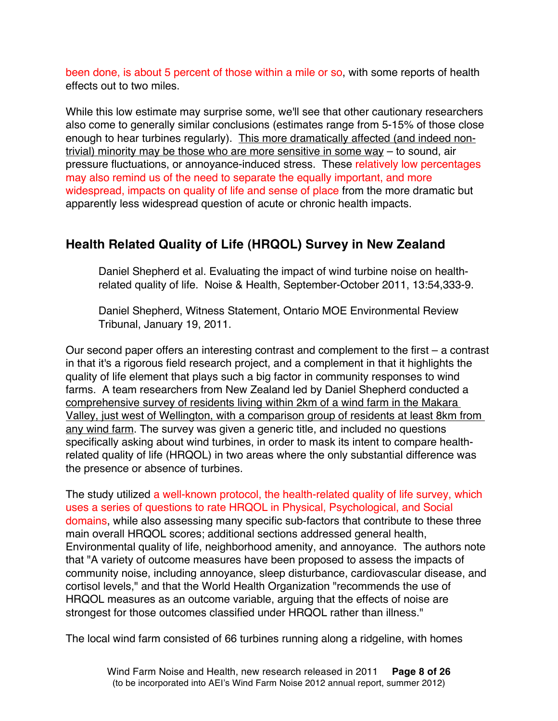been done, is about 5 percent of those within a mile or so, with some reports of health effects out to two miles.

While this low estimate may surprise some, we'll see that other cautionary researchers also come to generally similar conclusions (estimates range from 5-15% of those close enough to hear turbines regularly). This more dramatically affected (and indeed nontrivial) minority may be those who are more sensitive in some way – to sound, air pressure fluctuations, or annoyance-induced stress. These relatively low percentages may also remind us of the need to separate the equally important, and more widespread, impacts on quality of life and sense of place from the more dramatic but apparently less widespread question of acute or chronic health impacts.

# **Health Related Quality of Life (HRQOL) Survey in New Zealand**

Daniel Shepherd et al. Evaluating the impact of wind turbine noise on healthrelated quality of life. Noise & Health, September-October 2011, 13:54,333-9.

Daniel Shepherd, Witness Statement, Ontario MOE Environmental Review Tribunal, January 19, 2011.

Our second paper offers an interesting contrast and complement to the first – a contrast in that it's a rigorous field research project, and a complement in that it highlights the quality of life element that plays such a big factor in community responses to wind farms. A team researchers from New Zealand led by Daniel Shepherd conducted a comprehensive survey of residents living within 2km of a wind farm in the Makara Valley, just west of Wellington, with a comparison group of residents at least 8km from any wind farm. The survey was given a generic title, and included no questions specifically asking about wind turbines, in order to mask its intent to compare healthrelated quality of life (HRQOL) in two areas where the only substantial difference was the presence or absence of turbines.

The study utilized a well-known protocol, the health-related quality of life survey, which uses a series of questions to rate HRQOL in Physical, Psychological, and Social domains, while also assessing many specific sub-factors that contribute to these three main overall HRQOL scores; additional sections addressed general health, Environmental quality of life, neighborhood amenity, and annoyance. The authors note that "A variety of outcome measures have been proposed to assess the impacts of community noise, including annoyance, sleep disturbance, cardiovascular disease, and cortisol levels," and that the World Health Organization "recommends the use of HRQOL measures as an outcome variable, arguing that the effects of noise are strongest for those outcomes classified under HRQOL rather than illness."

The local wind farm consisted of 66 turbines running along a ridgeline, with homes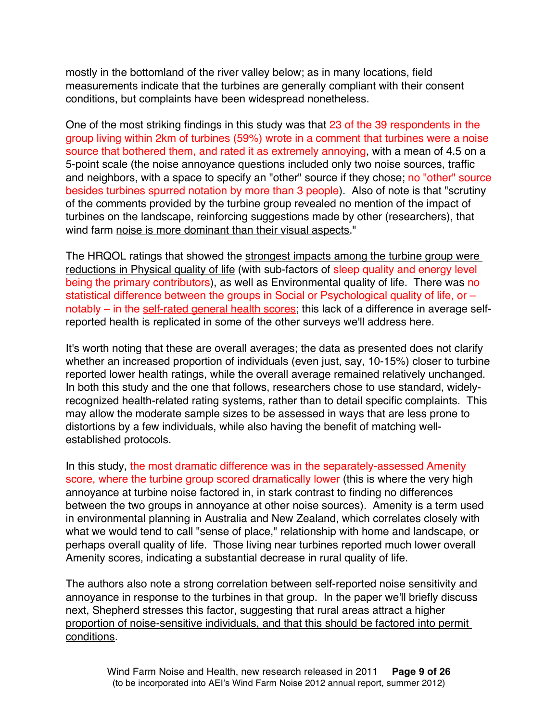mostly in the bottomland of the river valley below; as in many locations, field measurements indicate that the turbines are generally compliant with their consent conditions, but complaints have been widespread nonetheless.

One of the most striking findings in this study was that 23 of the 39 respondents in the group living within 2km of turbines (59%) wrote in a comment that turbines were a noise source that bothered them, and rated it as extremely annoying, with a mean of 4.5 on a 5-point scale (the noise annoyance questions included only two noise sources, traffic and neighbors, with a space to specify an "other" source if they chose; no "other" source besides turbines spurred notation by more than 3 people). Also of note is that "scrutiny of the comments provided by the turbine group revealed no mention of the impact of turbines on the landscape, reinforcing suggestions made by other (researchers), that wind farm noise is more dominant than their visual aspects."

The HRQOL ratings that showed the strongest impacts among the turbine group were reductions in Physical quality of life (with sub-factors of sleep quality and energy level being the primary contributors), as well as Environmental quality of life. There was no statistical difference between the groups in Social or Psychological quality of life, or notably – in the self-rated general health scores; this lack of a difference in average selfreported health is replicated in some of the other surveys we'll address here.

It's worth noting that these are overall averages; the data as presented does not clarify whether an increased proportion of individuals (even just, say, 10-15%) closer to turbine reported lower health ratings, while the overall average remained relatively unchanged. In both this study and the one that follows, researchers chose to use standard, widelyrecognized health-related rating systems, rather than to detail specific complaints. This may allow the moderate sample sizes to be assessed in ways that are less prone to distortions by a few individuals, while also having the benefit of matching wellestablished protocols.

In this study, the most dramatic difference was in the separately-assessed Amenity score, where the turbine group scored dramatically lower (this is where the very high annoyance at turbine noise factored in, in stark contrast to finding no differences between the two groups in annoyance at other noise sources). Amenity is a term used in environmental planning in Australia and New Zealand, which correlates closely with what we would tend to call "sense of place," relationship with home and landscape, or perhaps overall quality of life. Those living near turbines reported much lower overall Amenity scores, indicating a substantial decrease in rural quality of life.

The authors also note a strong correlation between self-reported noise sensitivity and annoyance in response to the turbines in that group. In the paper we'll briefly discuss next, Shepherd stresses this factor, suggesting that rural areas attract a higher proportion of noise-sensitive individuals, and that this should be factored into permit conditions.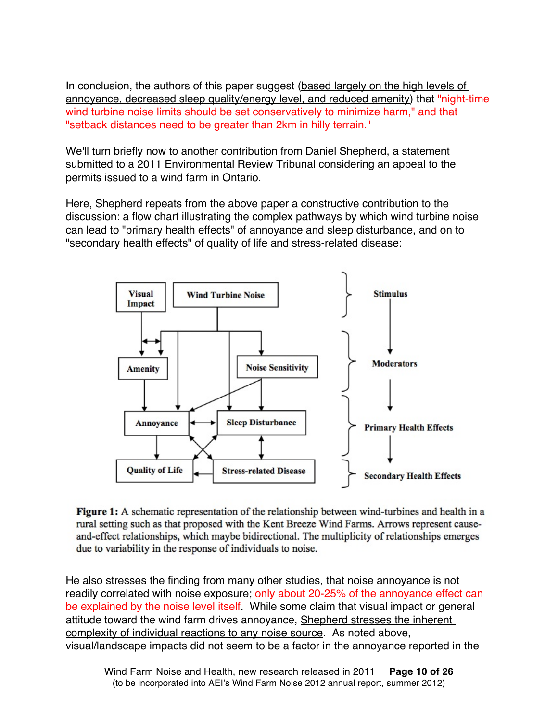In conclusion, the authors of this paper suggest (based largely on the high levels of annoyance, decreased sleep quality/energy level, and reduced amenity) that "night-time wind turbine noise limits should be set conservatively to minimize harm," and that "setback distances need to be greater than 2km in hilly terrain."

We'll turn briefly now to another contribution from Daniel Shepherd, a statement submitted to a 2011 Environmental Review Tribunal considering an appeal to the permits issued to a wind farm in Ontario.

Here, Shepherd repeats from the above paper a constructive contribution to the discussion: a flow chart illustrating the complex pathways by which wind turbine noise can lead to "primary health effects" of annoyance and sleep disturbance, and on to "secondary health effects" of quality of life and stress-related disease:



Figure 1: A schematic representation of the relationship between wind-turbines and health in a rural setting such as that proposed with the Kent Breeze Wind Farms. Arrows represent causeand-effect relationships, which maybe bidirectional. The multiplicity of relationships emerges due to variability in the response of individuals to noise.

He also stresses the finding from many other studies, that noise annoyance is not readily correlated with noise exposure; only about 20-25% of the annoyance effect can be explained by the noise level itself. While some claim that visual impact or general attitude toward the wind farm drives annoyance, Shepherd stresses the inherent complexity of individual reactions to any noise source. As noted above, visual/landscape impacts did not seem to be a factor in the annoyance reported in the

Wind Farm Noise and Health, new research released in 2011 **Page 10 of 26** (to be incorporated into AEI's Wind Farm Noise 2012 annual report, summer 2012)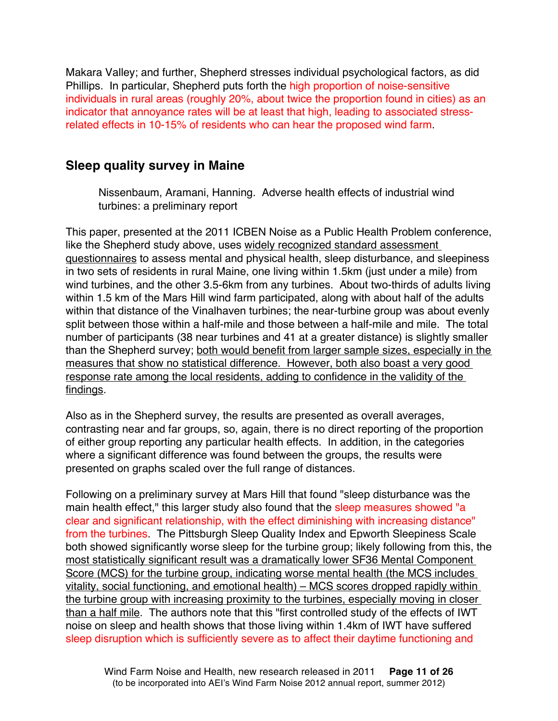Makara Valley; and further, Shepherd stresses individual psychological factors, as did Phillips. In particular, Shepherd puts forth the high proportion of noise-sensitive individuals in rural areas (roughly 20%, about twice the proportion found in cities) as an indicator that annoyance rates will be at least that high, leading to associated stressrelated effects in 10-15% of residents who can hear the proposed wind farm.

### **Sleep quality survey in Maine**

Nissenbaum, Aramani, Hanning. Adverse health effects of industrial wind turbines: a preliminary report

This paper, presented at the 2011 ICBEN Noise as a Public Health Problem conference, like the Shepherd study above, uses widely recognized standard assessment questionnaires to assess mental and physical health, sleep disturbance, and sleepiness in two sets of residents in rural Maine, one living within 1.5km (just under a mile) from wind turbines, and the other 3.5-6km from any turbines. About two-thirds of adults living within 1.5 km of the Mars Hill wind farm participated, along with about half of the adults within that distance of the Vinalhaven turbines; the near-turbine group was about evenly split between those within a half-mile and those between a half-mile and mile. The total number of participants (38 near turbines and 41 at a greater distance) is slightly smaller than the Shepherd survey; both would benefit from larger sample sizes, especially in the measures that show no statistical difference. However, both also boast a very good response rate among the local residents, adding to confidence in the validity of the findings.

Also as in the Shepherd survey, the results are presented as overall averages, contrasting near and far groups, so, again, there is no direct reporting of the proportion of either group reporting any particular health effects. In addition, in the categories where a significant difference was found between the groups, the results were presented on graphs scaled over the full range of distances.

Following on a preliminary survey at Mars Hill that found "sleep disturbance was the main health effect," this larger study also found that the sleep measures showed "a clear and significant relationship, with the effect diminishing with increasing distance" from the turbines. The Pittsburgh Sleep Quality Index and Epworth Sleepiness Scale both showed significantly worse sleep for the turbine group; likely following from this, the most statistically significant result was a dramatically lower SF36 Mental Component Score (MCS) for the turbine group, indicating worse mental health (the MCS includes vitality, social functioning, and emotional health) – MCS scores dropped rapidly within the turbine group with increasing proximity to the turbines, especially moving in closer than a half mile. The authors note that this "first controlled study of the effects of IWT noise on sleep and health shows that those living within 1.4km of IWT have suffered sleep disruption which is sufficiently severe as to affect their daytime functioning and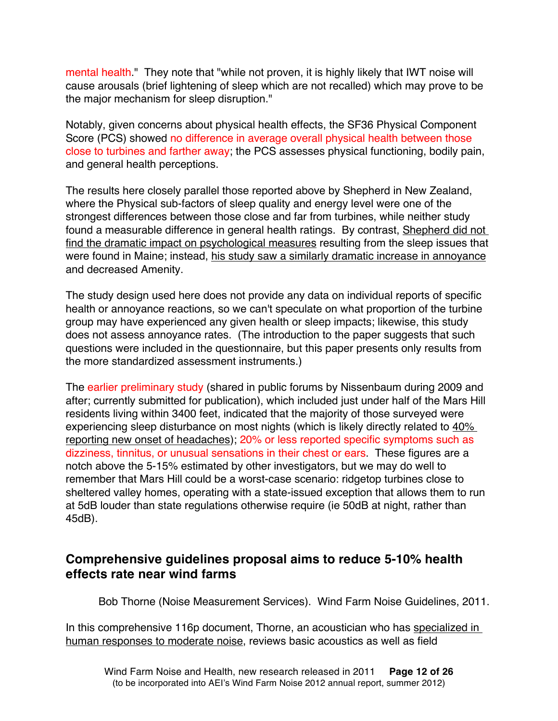mental health." They note that "while not proven, it is highly likely that IWT noise will cause arousals (brief lightening of sleep which are not recalled) which may prove to be the major mechanism for sleep disruption."

Notably, given concerns about physical health effects, the SF36 Physical Component Score (PCS) showed no difference in average overall physical health between those close to turbines and farther away; the PCS assesses physical functioning, bodily pain, and general health perceptions.

The results here closely parallel those reported above by Shepherd in New Zealand, where the Physical sub-factors of sleep quality and energy level were one of the strongest differences between those close and far from turbines, while neither study found a measurable difference in general health ratings. By contrast, Shepherd did not find the dramatic impact on psychological measures resulting from the sleep issues that were found in Maine; instead, his study saw a similarly dramatic increase in annoyance and decreased Amenity.

The study design used here does not provide any data on individual reports of specific health or annoyance reactions, so we can't speculate on what proportion of the turbine group may have experienced any given health or sleep impacts; likewise, this study does not assess annoyance rates. (The introduction to the paper suggests that such questions were included in the questionnaire, but this paper presents only results from the more standardized assessment instruments.)

The earlier preliminary study (shared in public forums by Nissenbaum during 2009 and after; currently submitted for publication), which included just under half of the Mars Hill residents living within 3400 feet, indicated that the majority of those surveyed were experiencing sleep disturbance on most nights (which is likely directly related to  $40\%$ reporting new onset of headaches); 20% or less reported specific symptoms such as dizziness, tinnitus, or unusual sensations in their chest or ears. These figures are a notch above the 5-15% estimated by other investigators, but we may do well to remember that Mars Hill could be a worst-case scenario: ridgetop turbines close to sheltered valley homes, operating with a state-issued exception that allows them to run at 5dB louder than state regulations otherwise require (ie 50dB at night, rather than 45dB).

## **Comprehensive guidelines proposal aims to reduce 5-10% health effects rate near wind farms**

Bob Thorne (Noise Measurement Services). Wind Farm Noise Guidelines, 2011.

In this comprehensive 116p document, Thorne, an acoustician who has specialized in human responses to moderate noise, reviews basic acoustics as well as field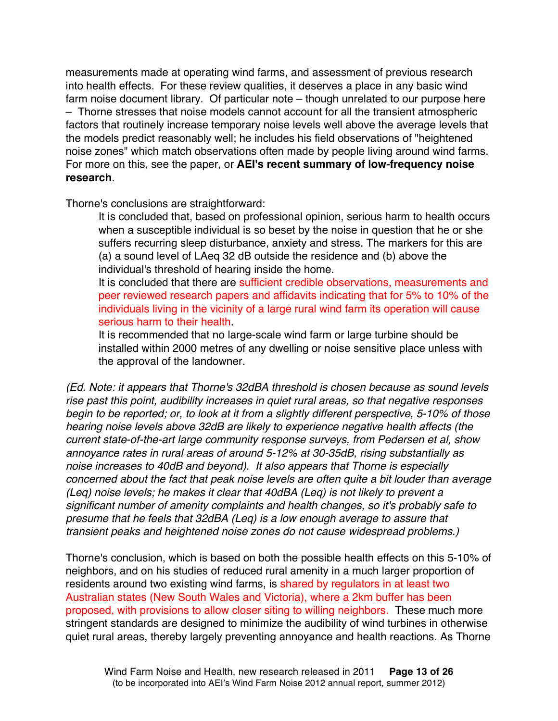measurements made at operating wind farms, and assessment of previous research into health effects. For these review qualities, it deserves a place in any basic wind farm noise document library. Of particular note – though unrelated to our purpose here – Thorne stresses that noise models cannot account for all the transient atmospheric factors that routinely increase temporary noise levels well above the average levels that the models predict reasonably well; he includes his field observations of "heightened noise zones" which match observations often made by people living around wind farms. For more on this, see the paper, or **AEI's recent summary of low-frequency noise research**.

Thorne's conclusions are straightforward:

It is concluded that, based on professional opinion, serious harm to health occurs when a susceptible individual is so beset by the noise in question that he or she suffers recurring sleep disturbance, anxiety and stress. The markers for this are (a) a sound level of LAeq 32 dB outside the residence and (b) above the individual's threshold of hearing inside the home.

It is concluded that there are sufficient credible observations, measurements and peer reviewed research papers and affidavits indicating that for 5% to 10% of the individuals living in the vicinity of a large rural wind farm its operation will cause serious harm to their health.

It is recommended that no large-scale wind farm or large turbine should be installed within 2000 metres of any dwelling or noise sensitive place unless with the approval of the landowner.

*(Ed. Note: it appears that Thorne's 32dBA threshold is chosen because as sound levels rise past this point, audibility increases in quiet rural areas, so that negative responses begin to be reported; or, to look at it from a slightly different perspective, 5-10% of those hearing noise levels above 32dB are likely to experience negative health affects (the current state-of-the-art large community response surveys, from Pedersen et al, show annoyance rates in rural areas of around 5-12% at 30-35dB, rising substantially as noise increases to 40dB and beyond). It also appears that Thorne is especially concerned about the fact that peak noise levels are often quite a bit louder than average (Leq) noise levels; he makes it clear that 40dBA (Leq) is not likely to prevent a significant number of amenity complaints and health changes, so it's probably safe to presume that he feels that 32dBA (Leq) is a low enough average to assure that transient peaks and heightened noise zones do not cause widespread problems.)*

Thorne's conclusion, which is based on both the possible health effects on this 5-10% of neighbors, and on his studies of reduced rural amenity in a much larger proportion of residents around two existing wind farms, is shared by regulators in at least two Australian states (New South Wales and Victoria), where a 2km buffer has been proposed, with provisions to allow closer siting to willing neighbors. These much more stringent standards are designed to minimize the audibility of wind turbines in otherwise quiet rural areas, thereby largely preventing annoyance and health reactions. As Thorne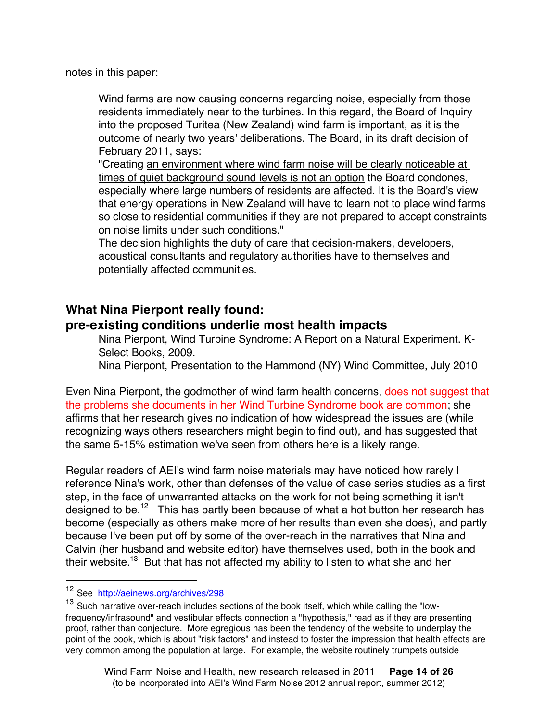notes in this paper:

Wind farms are now causing concerns regarding noise, especially from those residents immediately near to the turbines. In this regard, the Board of Inquiry into the proposed Turitea (New Zealand) wind farm is important, as it is the outcome of nearly two years' deliberations. The Board, in its draft decision of February 2011, says:

"Creating an environment where wind farm noise will be clearly noticeable at times of quiet background sound levels is not an option the Board condones, especially where large numbers of residents are affected. It is the Board's view that energy operations in New Zealand will have to learn not to place wind farms so close to residential communities if they are not prepared to accept constraints on noise limits under such conditions."

The decision highlights the duty of care that decision-makers, developers, acoustical consultants and regulatory authorities have to themselves and potentially affected communities.

### **What Nina Pierpont really found:**

### **pre-existing conditions underlie most health impacts**

Nina Pierpont, Wind Turbine Syndrome: A Report on a Natural Experiment. K-Select Books, 2009.

Nina Pierpont, Presentation to the Hammond (NY) Wind Committee, July 2010

Even Nina Pierpont, the godmother of wind farm health concerns, does not suggest that the problems she documents in her Wind Turbine Syndrome book are common; she affirms that her research gives no indication of how widespread the issues are (while recognizing ways others researchers might begin to find out), and has suggested that the same 5-15% estimation we've seen from others here is a likely range.

Regular readers of AEI's wind farm noise materials may have noticed how rarely I reference Nina's work, other than defenses of the value of case series studies as a first step, in the face of unwarranted attacks on the work for not being something it isn't designed to be.<sup>12</sup> This has partly been because of what a hot button her research has become (especially as others make more of her results than even she does), and partly because I've been put off by some of the over-reach in the narratives that Nina and Calvin (her husband and website editor) have themselves used, both in the book and their website.<sup>13</sup> But that has not affected my ability to listen to what she and her

 <sup>12</sup> See http://aeinews.org/archives/298

<sup>&</sup>lt;sup>13</sup> Such narrative over-reach includes sections of the book itself, which while calling the "lowfrequency/infrasound" and vestibular effects connection a "hypothesis," read as if they are presenting proof, rather than conjecture. More egregious has been the tendency of the website to underplay the point of the book, which is about "risk factors" and instead to foster the impression that health effects are very common among the population at large. For example, the website routinely trumpets outside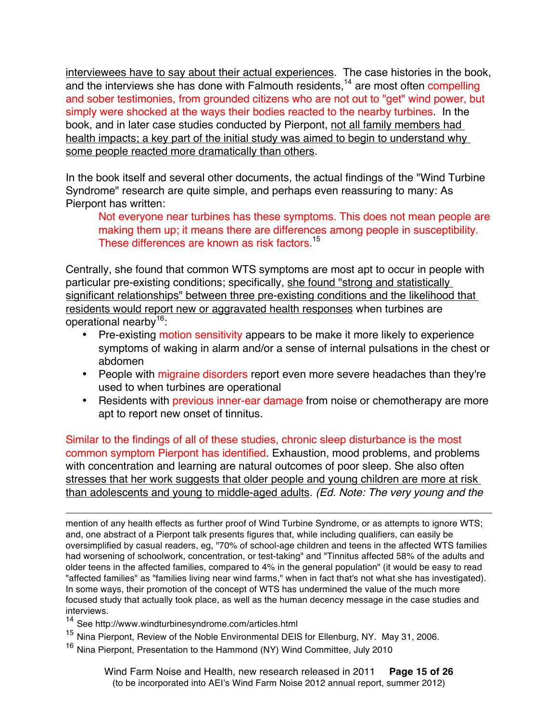interviewees have to say about their actual experiences. The case histories in the book, and the interviews she has done with Falmouth residents,<sup>14</sup> are most often compelling and sober testimonies, from grounded citizens who are not out to "get" wind power, but simply were shocked at the ways their bodies reacted to the nearby turbines. In the book, and in later case studies conducted by Pierpont, not all family members had health impacts; a key part of the initial study was aimed to begin to understand why some people reacted more dramatically than others.

In the book itself and several other documents, the actual findings of the "Wind Turbine Syndrome" research are quite simple, and perhaps even reassuring to many: As Pierpont has written:

Not everyone near turbines has these symptoms. This does not mean people are making them up; it means there are differences among people in susceptibility. These differences are known as risk factors.<sup>15</sup>

Centrally, she found that common WTS symptoms are most apt to occur in people with particular pre-existing conditions; specifically, she found "strong and statistically significant relationships" between three pre-existing conditions and the likelihood that residents would report new or aggravated health responses when turbines are operational nearby16:

- Pre-existing motion sensitivity appears to be make it more likely to experience symptoms of waking in alarm and/or a sense of internal pulsations in the chest or abdomen
- People with migraine disorders report even more severe headaches than they're used to when turbines are operational
- Residents with previous inner-ear damage from noise or chemotherapy are more apt to report new onset of tinnitus.

Similar to the findings of all of these studies, chronic sleep disturbance is the most common symptom Pierpont has identified. Exhaustion, mood problems, and problems with concentration and learning are natural outcomes of poor sleep. She also often stresses that her work suggests that older people and young children are more at risk than adolescents and young to middle-aged adults. *(Ed. Note: The very young and the* 

 $\overline{a}$ mention of any health effects as further proof of Wind Turbine Syndrome, or as attempts to ignore WTS; and, one abstract of a Pierpont talk presents figures that, while including qualifiers, can easily be oversimplified by casual readers, eg, "70% of school-age children and teens in the affected WTS families had worsening of schoolwork, concentration, or test-taking" and "Tinnitus affected 58% of the adults and older teens in the affected families, compared to 4% in the general population" (it would be easy to read "affected families" as "families living near wind farms," when in fact that's not what she has investigated). In some ways, their promotion of the concept of WTS has undermined the value of the much more focused study that actually took place, as well as the human decency message in the case studies and interviews.

- <sup>14</sup> See http://www.windturbinesyndrome.com/articles.html
- <sup>15</sup> Nina Pierpont, Review of the Noble Environmental DEIS for Ellenburg, NY. May 31, 2006.
- <sup>16</sup> Nina Pierpont, Presentation to the Hammond (NY) Wind Committee, July 2010

Wind Farm Noise and Health, new research released in 2011 **Page 15 of 26** (to be incorporated into AEI's Wind Farm Noise 2012 annual report, summer 2012)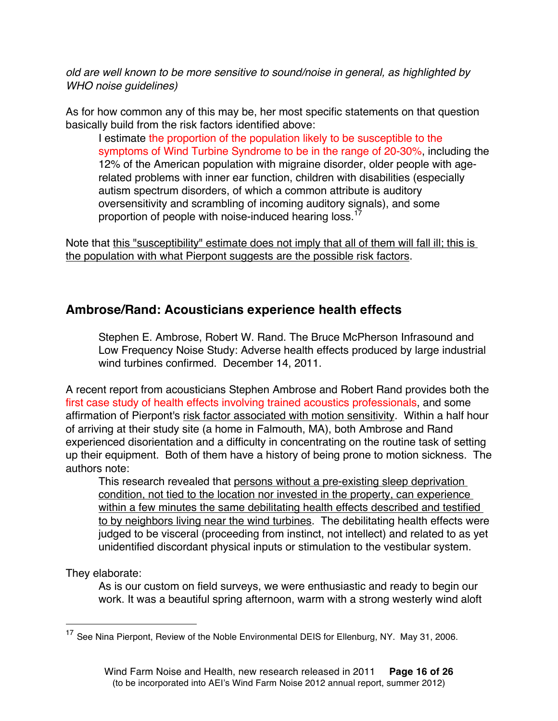*old are well known to be more sensitive to sound/noise in general, as highlighted by WHO noise guidelines)*

As for how common any of this may be, her most specific statements on that question basically build from the risk factors identified above:

I estimate the proportion of the population likely to be susceptible to the symptoms of Wind Turbine Syndrome to be in the range of 20-30%, including the 12% of the American population with migraine disorder, older people with agerelated problems with inner ear function, children with disabilities (especially autism spectrum disorders, of which a common attribute is auditory oversensitivity and scrambling of incoming auditory signals), and some proportion of people with noise-induced hearing loss.<sup>17</sup>

Note that this "susceptibility" estimate does not imply that all of them will fall ill; this is the population with what Pierpont suggests are the possible risk factors.

## **Ambrose/Rand: Acousticians experience health effects**

Stephen E. Ambrose, Robert W. Rand. The Bruce McPherson Infrasound and Low Frequency Noise Study: Adverse health effects produced by large industrial wind turbines confirmed. December 14, 2011.

A recent report from acousticians Stephen Ambrose and Robert Rand provides both the first case study of health effects involving trained acoustics professionals, and some affirmation of Pierpont's risk factor associated with motion sensitivity. Within a half hour of arriving at their study site (a home in Falmouth, MA), both Ambrose and Rand experienced disorientation and a difficulty in concentrating on the routine task of setting up their equipment. Both of them have a history of being prone to motion sickness. The authors note:

This research revealed that persons without a pre-existing sleep deprivation condition, not tied to the location nor invested in the property, can experience within a few minutes the same debilitating health effects described and testified to by neighbors living near the wind turbines. The debilitating health effects were judged to be visceral (proceeding from instinct, not intellect) and related to as yet unidentified discordant physical inputs or stimulation to the vestibular system.

They elaborate:

As is our custom on field surveys, we were enthusiastic and ready to begin our work. It was a beautiful spring afternoon, warm with a strong westerly wind aloft

<sup>&</sup>lt;sup>17</sup> See Nina Pierpont, Review of the Noble Environmental DEIS for Ellenburg, NY. May 31, 2006.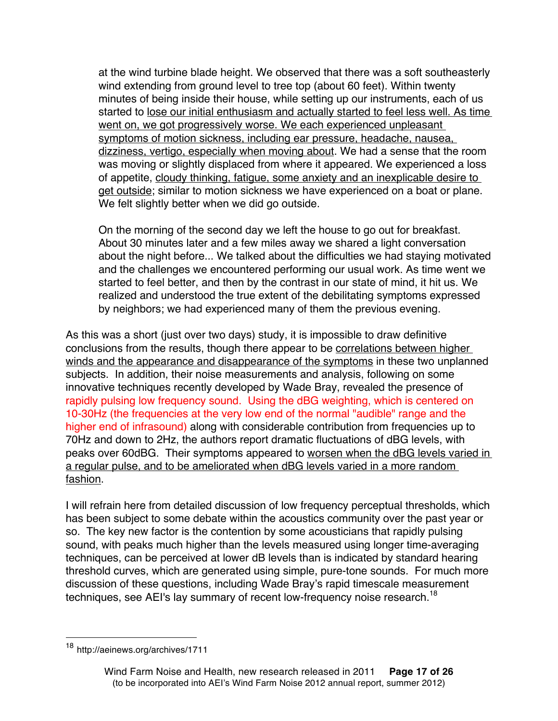at the wind turbine blade height. We observed that there was a soft southeasterly wind extending from ground level to tree top (about 60 feet). Within twenty minutes of being inside their house, while setting up our instruments, each of us started to lose our initial enthusiasm and actually started to feel less well. As time went on, we got progressively worse. We each experienced unpleasant symptoms of motion sickness, including ear pressure, headache, nausea, dizziness, vertigo, especially when moving about. We had a sense that the room was moving or slightly displaced from where it appeared. We experienced a loss of appetite, cloudy thinking, fatigue, some anxiety and an inexplicable desire to get outside; similar to motion sickness we have experienced on a boat or plane. We felt slightly better when we did go outside.

On the morning of the second day we left the house to go out for breakfast. About 30 minutes later and a few miles away we shared a light conversation about the night before... We talked about the difficulties we had staying motivated and the challenges we encountered performing our usual work. As time went we started to feel better, and then by the contrast in our state of mind, it hit us. We realized and understood the true extent of the debilitating symptoms expressed by neighbors; we had experienced many of them the previous evening.

As this was a short (just over two days) study, it is impossible to draw definitive conclusions from the results, though there appear to be correlations between higher winds and the appearance and disappearance of the symptoms in these two unplanned subjects. In addition, their noise measurements and analysis, following on some innovative techniques recently developed by Wade Bray, revealed the presence of rapidly pulsing low frequency sound. Using the dBG weighting, which is centered on 10-30Hz (the frequencies at the very low end of the normal "audible" range and the higher end of infrasound) along with considerable contribution from frequencies up to 70Hz and down to 2Hz, the authors report dramatic fluctuations of dBG levels, with peaks over 60dBG. Their symptoms appeared to worsen when the dBG levels varied in a regular pulse, and to be ameliorated when dBG levels varied in a more random fashion.

I will refrain here from detailed discussion of low frequency perceptual thresholds, which has been subject to some debate within the acoustics community over the past year or so. The key new factor is the contention by some acousticians that rapidly pulsing sound, with peaks much higher than the levels measured using longer time-averaging techniques, can be perceived at lower dB levels than is indicated by standard hearing threshold curves, which are generated using simple, pure-tone sounds. For much more discussion of these questions, including Wade Bray's rapid timescale measurement techniques, see AEI's lay summary of recent low-frequency noise research.<sup>18</sup>

http://aeinews.org/archives/1711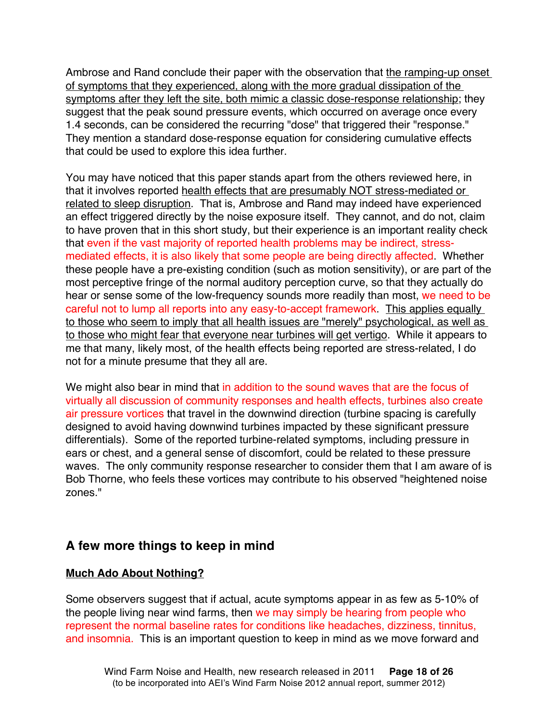Ambrose and Rand conclude their paper with the observation that the ramping-up onset of symptoms that they experienced, along with the more gradual dissipation of the symptoms after they left the site, both mimic a classic dose-response relationship; they suggest that the peak sound pressure events, which occurred on average once every 1.4 seconds, can be considered the recurring "dose" that triggered their "response." They mention a standard dose-response equation for considering cumulative effects that could be used to explore this idea further.

You may have noticed that this paper stands apart from the others reviewed here, in that it involves reported health effects that are presumably NOT stress-mediated or related to sleep disruption. That is, Ambrose and Rand may indeed have experienced an effect triggered directly by the noise exposure itself. They cannot, and do not, claim to have proven that in this short study, but their experience is an important reality check that even if the vast majority of reported health problems may be indirect, stressmediated effects, it is also likely that some people are being directly affected. Whether these people have a pre-existing condition (such as motion sensitivity), or are part of the most perceptive fringe of the normal auditory perception curve, so that they actually do hear or sense some of the low-frequency sounds more readily than most, we need to be careful not to lump all reports into any easy-to-accept framework. This applies equally to those who seem to imply that all health issues are "merely" psychological, as well as to those who might fear that everyone near turbines will get vertigo. While it appears to me that many, likely most, of the health effects being reported are stress-related, I do not for a minute presume that they all are.

We might also bear in mind that in addition to the sound waves that are the focus of virtually all discussion of community responses and health effects, turbines also create air pressure vortices that travel in the downwind direction (turbine spacing is carefully designed to avoid having downwind turbines impacted by these significant pressure differentials). Some of the reported turbine-related symptoms, including pressure in ears or chest, and a general sense of discomfort, could be related to these pressure waves. The only community response researcher to consider them that I am aware of is Bob Thorne, who feels these vortices may contribute to his observed "heightened noise zones."

## **A few more things to keep in mind**

### **Much Ado About Nothing?**

Some observers suggest that if actual, acute symptoms appear in as few as 5-10% of the people living near wind farms, then we may simply be hearing from people who represent the normal baseline rates for conditions like headaches, dizziness, tinnitus, and insomnia. This is an important question to keep in mind as we move forward and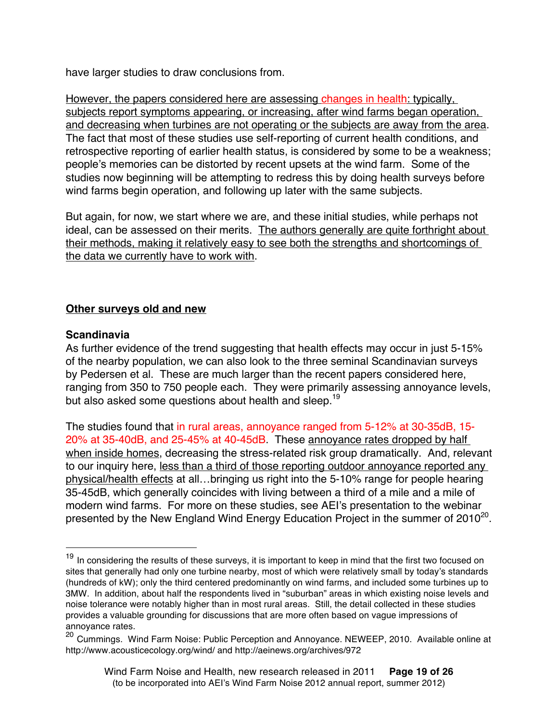have larger studies to draw conclusions from.

However, the papers considered here are assessing changes in health: typically, subjects report symptoms appearing, or increasing, after wind farms began operation, and decreasing when turbines are not operating or the subjects are away from the area. The fact that most of these studies use self-reporting of current health conditions, and retrospective reporting of earlier health status, is considered by some to be a weakness; people's memories can be distorted by recent upsets at the wind farm. Some of the studies now beginning will be attempting to redress this by doing health surveys before wind farms begin operation, and following up later with the same subjects.

But again, for now, we start where we are, and these initial studies, while perhaps not ideal, can be assessed on their merits. The authors generally are quite forthright about their methods, making it relatively easy to see both the strengths and shortcomings of the data we currently have to work with.

#### **Other surveys old and new**

#### **Scandinavia**

As further evidence of the trend suggesting that health effects may occur in just 5-15% of the nearby population, we can also look to the three seminal Scandinavian surveys by Pedersen et al. These are much larger than the recent papers considered here, ranging from 350 to 750 people each. They were primarily assessing annoyance levels, but also asked some questions about health and sleep.<sup>19</sup>

The studies found that in rural areas, annoyance ranged from 5-12% at 30-35dB, 15- 20% at 35-40dB, and 25-45% at 40-45dB. These annoyance rates dropped by half when inside homes, decreasing the stress-related risk group dramatically. And, relevant to our inquiry here, less than a third of those reporting outdoor annoyance reported any physical/health effects at all…bringing us right into the 5-10% range for people hearing 35-45dB, which generally coincides with living between a third of a mile and a mile of modern wind farms. For more on these studies, see AEI's presentation to the webinar presented by the New England Wind Energy Education Project in the summer of  $2010^{20}$ .

<sup>&</sup>lt;sup>19</sup> In considering the results of these surveys, it is important to keep in mind that the first two focused on sites that generally had only one turbine nearby, most of which were relatively small by today's standards (hundreds of kW); only the third centered predominantly on wind farms, and included some turbines up to 3MW. In addition, about half the respondents lived in "suburban" areas in which existing noise levels and noise tolerance were notably higher than in most rural areas. Still, the detail collected in these studies provides a valuable grounding for discussions that are more often based on vague impressions of annoyance rates.

<sup>20</sup> Cummings. Wind Farm Noise: Public Perception and Annoyance. NEWEEP, 2010. Available online at http://www.acousticecology.org/wind/ and http://aeinews.org/archives/972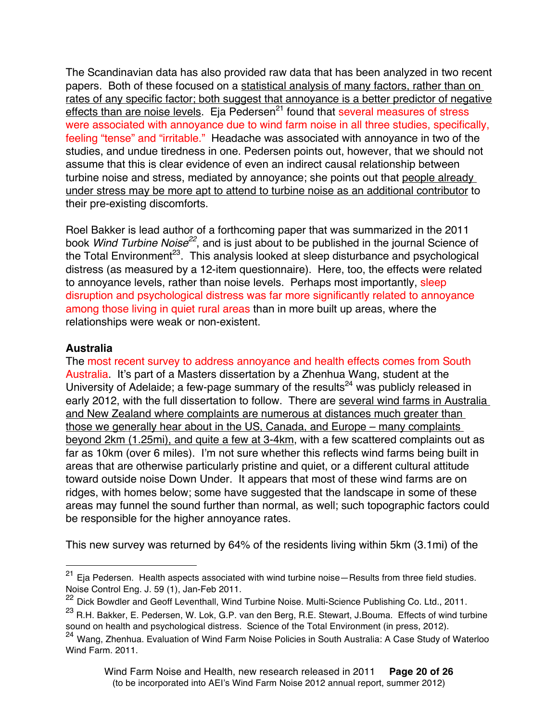The Scandinavian data has also provided raw data that has been analyzed in two recent papers. Both of these focused on a statistical analysis of many factors, rather than on rates of any specific factor; both suggest that annoyance is a better predictor of negative effects than are noise levels. Eja Pedersen $^{21}$  found that several measures of stress were associated with annoyance due to wind farm noise in all three studies, specifically, feeling "tense" and "irritable." Headache was associated with annoyance in two of the studies, and undue tiredness in one. Pedersen points out, however, that we should not assume that this is clear evidence of even an indirect causal relationship between turbine noise and stress, mediated by annoyance; she points out that people already under stress may be more apt to attend to turbine noise as an additional contributor to their pre-existing discomforts.

Roel Bakker is lead author of a forthcoming paper that was summarized in the 2011 book *Wind Turbine Noise*<sup>22</sup>, and is just about to be published in the journal Science of the Total Environment<sup>23</sup>. This analysis looked at sleep disturbance and psychological distress (as measured by a 12-item questionnaire). Here, too, the effects were related to annoyance levels, rather than noise levels. Perhaps most importantly, sleep disruption and psychological distress was far more significantly related to annoyance among those living in quiet rural areas than in more built up areas, where the relationships were weak or non-existent.

#### **Australia**

The most recent survey to address annoyance and health effects comes from South Australia. It's part of a Masters dissertation by a Zhenhua Wang, student at the University of Adelaide; a few-page summary of the results<sup>24</sup> was publicly released in early 2012, with the full dissertation to follow. There are several wind farms in Australia and New Zealand where complaints are numerous at distances much greater than those we generally hear about in the US, Canada, and Europe – many complaints beyond 2km (1.25mi), and quite a few at 3-4km, with a few scattered complaints out as far as 10km (over 6 miles). I'm not sure whether this reflects wind farms being built in areas that are otherwise particularly pristine and quiet, or a different cultural attitude toward outside noise Down Under. It appears that most of these wind farms are on ridges, with homes below; some have suggested that the landscape in some of these areas may funnel the sound further than normal, as well; such topographic factors could be responsible for the higher annoyance rates.

This new survey was returned by 64% of the residents living within 5km (3.1mi) of the

 $21$  Eja Pedersen. Health aspects associated with wind turbine noise—Results from three field studies. Noise Control Eng. J. 59 (1), Jan-Feb 2011.

<sup>22</sup> Dick Bowdler and Geoff Leventhall, Wind Turbine Noise. Multi-Science Publishing Co. Ltd., 2011.

<sup>&</sup>lt;sup>23</sup> R.H. Bakker, E. Pedersen, W. Lok, G.P. van den Berg, R.E. Stewart, J.Bouma. Effects of wind turbine sound on health and psychological distress. Science of the Total Environment (in press, 2012).

<sup>24</sup> Wang, Zhenhua. Evaluation of Wind Farm Noise Policies in South Australia: A Case Study of Waterloo Wind Farm. 2011.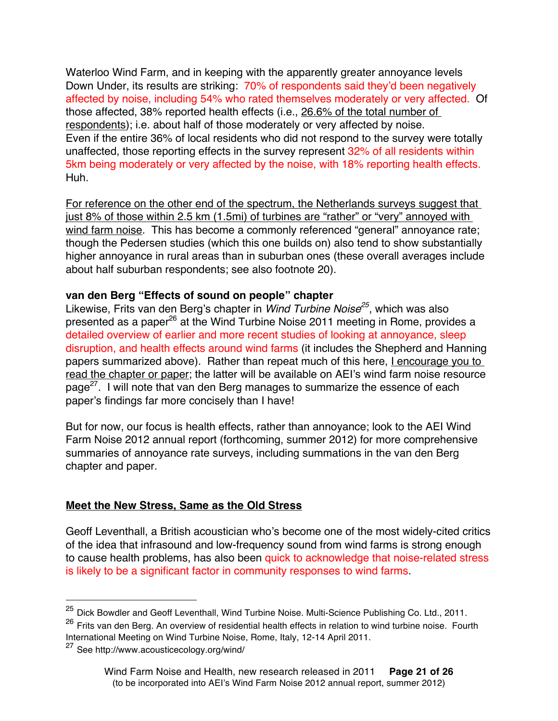Waterloo Wind Farm, and in keeping with the apparently greater annoyance levels Down Under, its results are striking: 70% of respondents said they'd been negatively affected by noise, including 54% who rated themselves moderately or very affected. Of those affected, 38% reported health effects (i.e., 26.6% of the total number of respondents); i.e. about half of those moderately or very affected by noise. Even if the entire 36% of local residents who did not respond to the survey were totally unaffected, those reporting effects in the survey represent 32% of all residents within 5km being moderately or very affected by the noise, with 18% reporting health effects. Huh.

For reference on the other end of the spectrum, the Netherlands surveys suggest that just 8% of those within 2.5 km (1.5mi) of turbines are "rather" or "very" annoyed with wind farm noise. This has become a commonly referenced "general" annoyance rate; though the Pedersen studies (which this one builds on) also tend to show substantially higher annoyance in rural areas than in suburban ones (these overall averages include about half suburban respondents; see also footnote 20).

#### **van den Berg "Effects of sound on people" chapter**

Likewise, Frits van den Berg's chapter in *Wind Turbine Noise25*, which was also presented as a paper<sup>26</sup> at the Wind Turbine Noise 2011 meeting in Rome, provides a detailed overview of earlier and more recent studies of looking at annoyance, sleep disruption, and health effects around wind farms (it includes the Shepherd and Hanning papers summarized above). Rather than repeat much of this here, I encourage you to read the chapter or paper; the latter will be available on AEI's wind farm noise resource page<sup>27</sup>. I will note that van den Berg manages to summarize the essence of each paper's findings far more concisely than I have!

But for now, our focus is health effects, rather than annoyance; look to the AEI Wind Farm Noise 2012 annual report (forthcoming, summer 2012) for more comprehensive summaries of annoyance rate surveys, including summations in the van den Berg chapter and paper.

#### **Meet the New Stress, Same as the Old Stress**

Geoff Leventhall, a British acoustician who's become one of the most widely-cited critics of the idea that infrasound and low-frequency sound from wind farms is strong enough to cause health problems, has also been quick to acknowledge that noise-related stress is likely to be a significant factor in community responses to wind farms.

<sup>&</sup>lt;sup>25</sup> Dick Bowdler and Geoff Leventhall, Wind Turbine Noise. Multi-Science Publishing Co. Ltd., 2011.

<sup>26</sup> Frits van den Berg. An overview of residential health effects in relation to wind turbine noise. Fourth International Meeting on Wind Turbine Noise, Rome, Italy, 12-14 April 2011.

<sup>27</sup> See http://www.acousticecology.org/wind/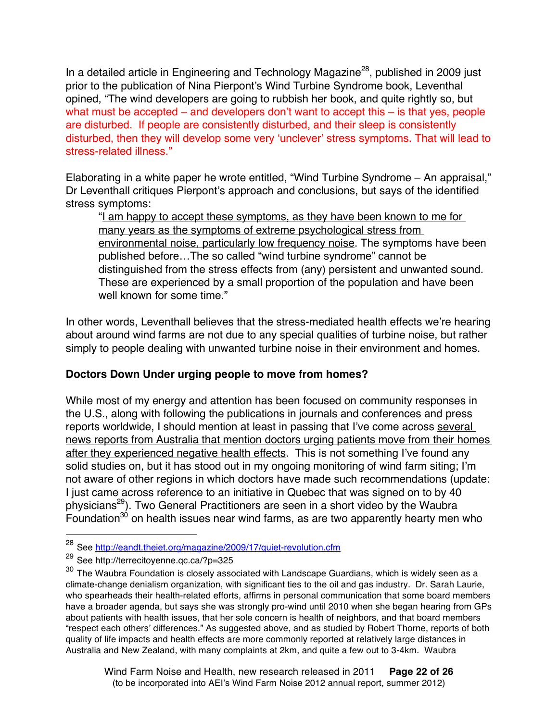In a detailed article in Engineering and Technology Magazine<sup>28</sup>, published in 2009 just prior to the publication of Nina Pierpont's Wind Turbine Syndrome book, Leventhal opined, "The wind developers are going to rubbish her book, and quite rightly so, but what must be accepted – and developers don't want to accept this – is that yes, people are disturbed. If people are consistently disturbed, and their sleep is consistently disturbed, then they will develop some very ʻunclever' stress symptoms. That will lead to stress-related illness."

Elaborating in a white paper he wrote entitled, "Wind Turbine Syndrome – An appraisal," Dr Leventhall critiques Pierpont's approach and conclusions, but says of the identified stress symptoms:

"I am happy to accept these symptoms, as they have been known to me for many years as the symptoms of extreme psychological stress from environmental noise, particularly low frequency noise. The symptoms have been published before…The so called "wind turbine syndrome" cannot be distinguished from the stress effects from (any) persistent and unwanted sound. These are experienced by a small proportion of the population and have been well known for some time."

In other words, Leventhall believes that the stress-mediated health effects we're hearing about around wind farms are not due to any special qualities of turbine noise, but rather simply to people dealing with unwanted turbine noise in their environment and homes.

### **Doctors Down Under urging people to move from homes?**

While most of my energy and attention has been focused on community responses in the U.S., along with following the publications in journals and conferences and press reports worldwide, I should mention at least in passing that I've come across several news reports from Australia that mention doctors urging patients move from their homes after they experienced negative health effects. This is not something I've found any solid studies on, but it has stood out in my ongoing monitoring of wind farm siting; I'm not aware of other regions in which doctors have made such recommendations (update: I just came across reference to an initiative in Quebec that was signed on to by 40 physicians29). Two General Practitioners are seen in a short video by the Waubra Foundation<sup>30</sup> on health issues near wind farms, as are two apparently hearty men who

<sup>&</sup>lt;sup>28</sup> See http://eandt.theiet.org/magazine/2009/17/quiet-revolution.cfm

<sup>29</sup> See http://terrecitoyenne.qc.ca/?p=325

 $30$  The Waubra Foundation is closely associated with Landscape Guardians, which is widely seen as a climate-change denialism organization, with significant ties to the oil and gas industry. Dr. Sarah Laurie, who spearheads their health-related efforts, affirms in personal communication that some board members have a broader agenda, but says she was strongly pro-wind until 2010 when she began hearing from GPs about patients with health issues, that her sole concern is health of neighbors, and that board members "respect each others' differences." As suggested above, and as studied by Robert Thorne, reports of both quality of life impacts and health effects are more commonly reported at relatively large distances in Australia and New Zealand, with many complaints at 2km, and quite a few out to 3-4km. Waubra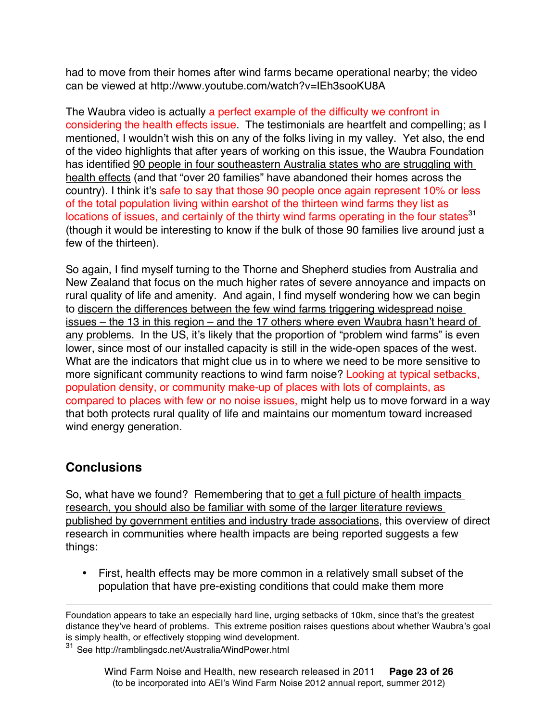had to move from their homes after wind farms became operational nearby; the video can be viewed at http://www.youtube.com/watch?v=IEh3sooKU8A

The Waubra video is actually a perfect example of the difficulty we confront in considering the health effects issue. The testimonials are heartfelt and compelling; as I mentioned, I wouldn't wish this on any of the folks living in my valley. Yet also, the end of the video highlights that after years of working on this issue, the Waubra Foundation has identified 90 people in four southeastern Australia states who are struggling with health effects (and that "over 20 families" have abandoned their homes across the country). I think it's safe to say that those 90 people once again represent 10% or less of the total population living within earshot of the thirteen wind farms they list as locations of issues, and certainly of the thirty wind farms operating in the four states<sup>31</sup> (though it would be interesting to know if the bulk of those 90 families live around just a few of the thirteen).

So again, I find myself turning to the Thorne and Shepherd studies from Australia and New Zealand that focus on the much higher rates of severe annoyance and impacts on rural quality of life and amenity. And again, I find myself wondering how we can begin to discern the differences between the few wind farms triggering widespread noise issues – the 13 in this region – and the 17 others where even Waubra hasn't heard of any problems. In the US, it's likely that the proportion of "problem wind farms" is even lower, since most of our installed capacity is still in the wide-open spaces of the west. What are the indicators that might clue us in to where we need to be more sensitive to more significant community reactions to wind farm noise? Looking at typical setbacks, population density, or community make-up of places with lots of complaints, as compared to places with few or no noise issues, might help us to move forward in a way that both protects rural quality of life and maintains our momentum toward increased wind energy generation.

## **Conclusions**

So, what have we found? Remembering that to get a full picture of health impacts research, you should also be familiar with some of the larger literature reviews published by government entities and industry trade associations, this overview of direct research in communities where health impacts are being reported suggests a few things:

• First, health effects may be more common in a relatively small subset of the population that have pre-existing conditions that could make them more

See http://ramblingsdc.net/Australia/WindPower.html

 $\overline{a}$ Foundation appears to take an especially hard line, urging setbacks of 10km, since that's the greatest distance they've heard of problems. This extreme position raises questions about whether Waubra's goal is simply health, or effectively stopping wind development.<br> $31$  See http://ramblingsdc.net/Australia/WindPower.html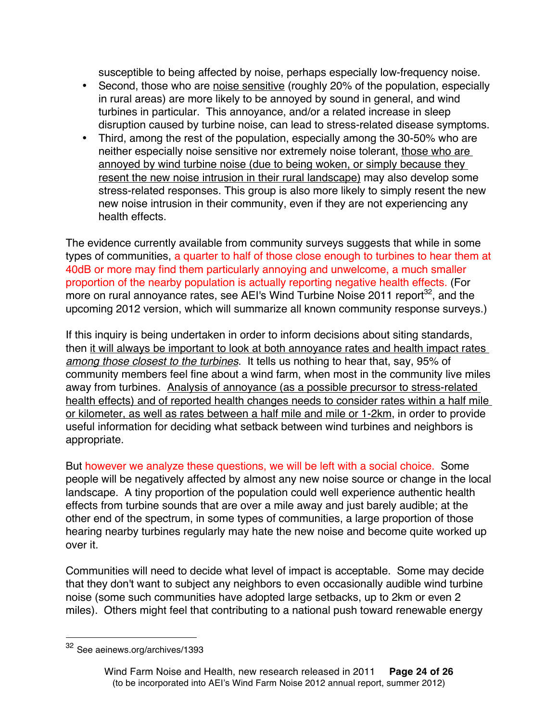susceptible to being affected by noise, perhaps especially low-frequency noise.

- Second, those who are noise sensitive (roughly 20% of the population, especially in rural areas) are more likely to be annoyed by sound in general, and wind turbines in particular. This annoyance, and/or a related increase in sleep disruption caused by turbine noise, can lead to stress-related disease symptoms.
- Third, among the rest of the population, especially among the 30-50% who are neither especially noise sensitive nor extremely noise tolerant, those who are annoyed by wind turbine noise (due to being woken, or simply because they resent the new noise intrusion in their rural landscape) may also develop some stress-related responses. This group is also more likely to simply resent the new new noise intrusion in their community, even if they are not experiencing any health effects.

The evidence currently available from community surveys suggests that while in some types of communities, a quarter to half of those close enough to turbines to hear them at 40dB or more may find them particularly annoying and unwelcome, a much smaller proportion of the nearby population is actually reporting negative health effects. (For more on rural annoyance rates, see AEI's Wind Turbine Noise 2011 report<sup>32</sup>, and the upcoming 2012 version, which will summarize all known community response surveys.)

If this inquiry is being undertaken in order to inform decisions about siting standards, then it will always be important to look at both annoyance rates and health impact rates *among those closest to the turbines*. It tells us nothing to hear that, say, 95% of community members feel fine about a wind farm, when most in the community live miles away from turbines. Analysis of annoyance (as a possible precursor to stress-related health effects) and of reported health changes needs to consider rates within a half mile or kilometer, as well as rates between a half mile and mile or 1-2km, in order to provide useful information for deciding what setback between wind turbines and neighbors is appropriate.

But however we analyze these questions, we will be left with a social choice. Some people will be negatively affected by almost any new noise source or change in the local landscape. A tiny proportion of the population could well experience authentic health effects from turbine sounds that are over a mile away and just barely audible; at the other end of the spectrum, in some types of communities, a large proportion of those hearing nearby turbines regularly may hate the new noise and become quite worked up over it.

Communities will need to decide what level of impact is acceptable. Some may decide that they don't want to subject any neighbors to even occasionally audible wind turbine noise (some such communities have adopted large setbacks, up to 2km or even 2 miles). Others might feel that contributing to a national push toward renewable energy

 <sup>32</sup> See aeinews.org/archives/1393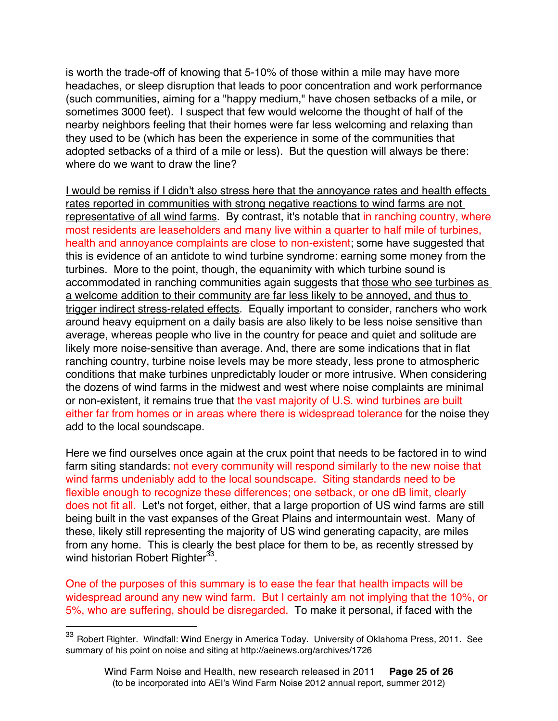is worth the trade-off of knowing that 5-10% of those within a mile may have more headaches, or sleep disruption that leads to poor concentration and work performance (such communities, aiming for a "happy medium," have chosen setbacks of a mile, or sometimes 3000 feet). I suspect that few would welcome the thought of half of the nearby neighbors feeling that their homes were far less welcoming and relaxing than they used to be (which has been the experience in some of the communities that adopted setbacks of a third of a mile or less). But the question will always be there: where do we want to draw the line?

I would be remiss if I didn't also stress here that the annoyance rates and health effects rates reported in communities with strong negative reactions to wind farms are not representative of all wind farms. By contrast, it's notable that in ranching country, where most residents are leaseholders and many live within a quarter to half mile of turbines, health and annoyance complaints are close to non-existent; some have suggested that this is evidence of an antidote to wind turbine syndrome: earning some money from the turbines. More to the point, though, the equanimity with which turbine sound is accommodated in ranching communities again suggests that those who see turbines as a welcome addition to their community are far less likely to be annoyed, and thus to trigger indirect stress-related effects. Equally important to consider, ranchers who work around heavy equipment on a daily basis are also likely to be less noise sensitive than average, whereas people who live in the country for peace and quiet and solitude are likely more noise-sensitive than average. And, there are some indications that in flat ranching country, turbine noise levels may be more steady, less prone to atmospheric conditions that make turbines unpredictably louder or more intrusive. When considering the dozens of wind farms in the midwest and west where noise complaints are minimal or non-existent, it remains true that the vast majority of U.S. wind turbines are built either far from homes or in areas where there is widespread tolerance for the noise they add to the local soundscape.

Here we find ourselves once again at the crux point that needs to be factored in to wind farm siting standards: not every community will respond similarly to the new noise that wind farms undeniably add to the local soundscape. Siting standards need to be flexible enough to recognize these differences; one setback, or one dB limit, clearly does not fit all. Let's not forget, either, that a large proportion of US wind farms are still being built in the vast expanses of the Great Plains and intermountain west. Many of these, likely still representing the majority of US wind generating capacity, are miles from any home. This is clearly the best place for them to be, as recently stressed by wind historian Robert Righter<sup>33</sup>.

One of the purposes of this summary is to ease the fear that health impacts will be widespread around any new wind farm. But I certainly am not implying that the 10%, or 5%, who are suffering, should be disregarded. To make it personal, if faced with the

<sup>33</sup> Robert Righter. Windfall: Wind Energy in America Today. University of Oklahoma Press, 2011. See summary of his point on noise and siting at http://aeinews.org/archives/1726

Wind Farm Noise and Health, new research released in 2011 **Page 25 of 26** (to be incorporated into AEI's Wind Farm Noise 2012 annual report, summer 2012)